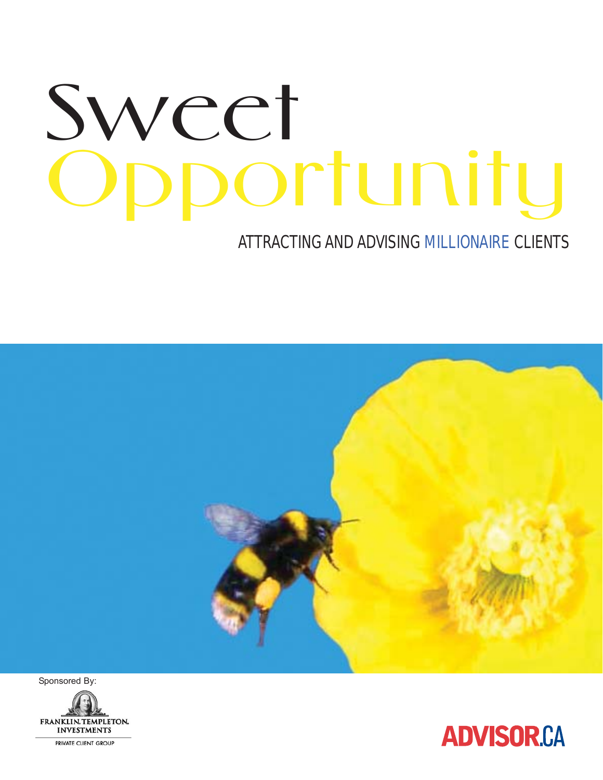# Sweet oortunity

### ATTRACTING AND ADVISING MILLIONAIRE CLIENTS



Sponsored By:



**ADVISOR.CA**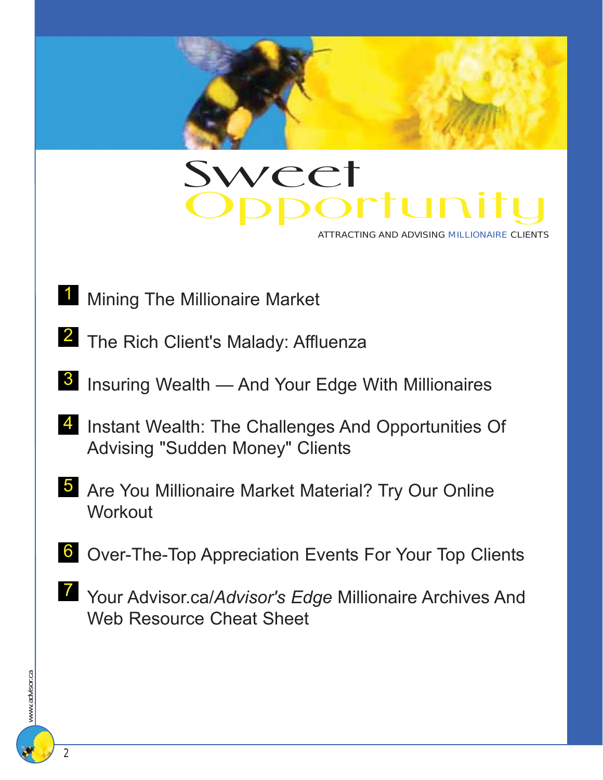

## Sweet **Sweet**<br>Opportunity

ATTRACTING AND ADVISING MILLIONAIRE CLIENTS

- **1** Mining The Millionaire Market
- 2 The Rich Client's Malady: Affluenza
- <sup>3</sup> Insuring Wealth And Your Edge With Millionaires
- 4 Instant Wealth: The Challenges And Opportunities Of Advising "Sudden Money" Clients
- 5 Are You Millionaire Market Material? Try Our Online **Workout**
- **6** Over-The-Top Appreciation Events For Your Top Clients
- **7** Your Advisor.ca/*Advisor's Edge* Millionaire Archives And Web Resource Cheat Sheet

2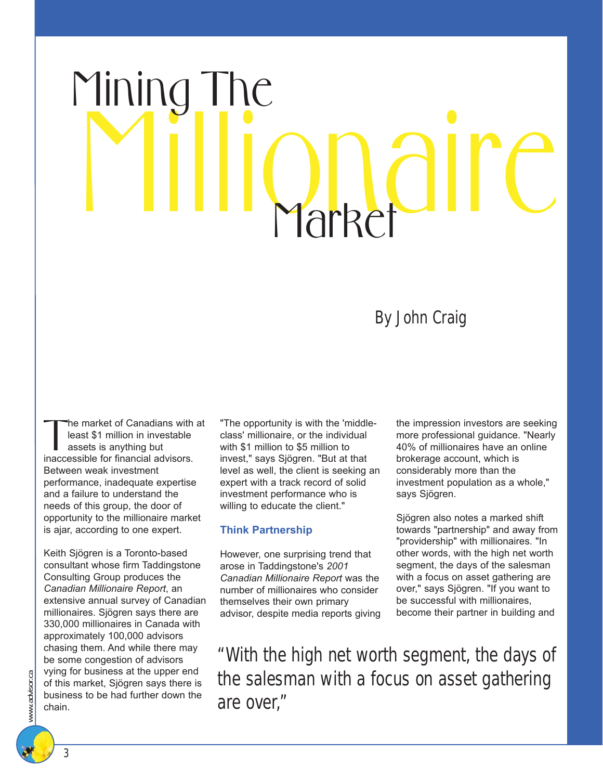## Millionaire Mining The 1arket

### By John Craig

The market of Canadians with at least \$1 million in investable assets is anything but inaccessible for financial advisors. Between weak investment performance, inadequate expertise and a failure to understand the needs of this group, the door of opportunity to the millionaire market is ajar, according to one expert.

Keith Sjögren is a Toronto-based consultant whose firm Taddingstone Consulting Group produces the *Canadian Millionaire Report*, an extensive annual survey of Canadian millionaires. Sjögren says there are 330,000 millionaires in Canada with approximately 100,000 advisors chasing them. And while there may be some congestion of advisors vying for business at the upper end of this market, Sjögren says there is business to be had further down the chain.

"The opportunity is with the 'middleclass' millionaire, or the individual with \$1 million to \$5 million to invest," says Sjögren. "But at that level as well, the client is seeking an expert with a track record of solid investment performance who is willing to educate the client."

#### **Think Partnership**

However, one surprising trend that arose in Taddingstone's *2001 Canadian Millionaire Report* was the number of millionaires who consider themselves their own primary advisor, despite media reports giving the impression investors are seeking more professional guidance. "Nearly 40% of millionaires have an online brokerage account, which is considerably more than the investment population as a whole," says Sjögren.

Sjögren also notes a marked shift towards "partnership" and away from "providership" with millionaires. "In other words, with the high net worth segment, the days of the salesman with a focus on asset gathering are over," says Sjögren. "If you want to be successful with millionaires, become their partner in building and

"With the high net worth segment, the days of the salesman with a focus on asset gathering are over,"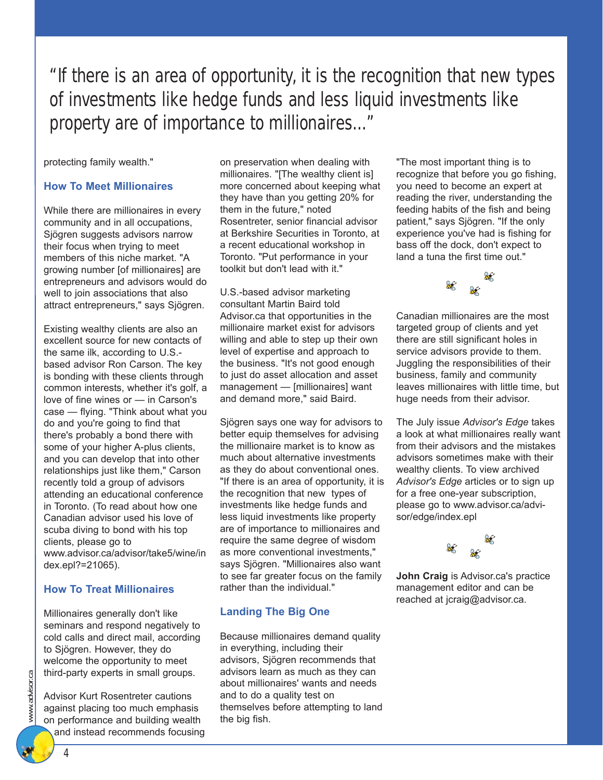"If there is an area of opportunity, it is the recognition that new types of investments like hedge funds and less liquid investments like property are of importance to millionaires..."

protecting family wealth."

#### **How To Meet Millionaires**

While there are millionaires in every community and in all occupations, Sjögren suggests advisors narrow their focus when trying to meet members of this niche market. "A growing number [of millionaires] are entrepreneurs and advisors would do well to join associations that also attract entrepreneurs," says Sjögren.

Existing wealthy clients are also an excellent source for new contacts of the same ilk, according to U.S. based advisor Ron Carson. The key is bonding with these clients through common interests, whether it's golf, a love of fine wines or — in Carson's case — flying. "Think about what you do and you're going to find that there's probably a bond there with some of your higher A-plus clients, and you can develop that into other relationships just like them," Carson recently told a group of advisors attending an educational conference in Toronto. (To read about how one Canadian advisor used his love of scuba diving to bond with his top clients, please go to www.advisor.ca/advisor/take5/wine/in dex.epl?=21065).

#### **How To Treat Millionaires**

Millionaires generally don't like seminars and respond negatively to cold calls and direct mail, according to Sjögren. However, they do welcome the opportunity to meet third-party experts in small groups.

Advisor Kurt Rosentreter cautions against placing too much emphasis on performance and building wealth and instead recommends focusing on preservation when dealing with millionaires. "[The wealthy client is] more concerned about keeping what they have than you getting 20% for them in the future," noted Rosentreter, senior financial advisor at Berkshire Securities in Toronto, at a recent educational workshop in Toronto. "Put performance in your toolkit but don't lead with it."

U.S.-based advisor marketing consultant Martin Baird told Advisor.ca that opportunities in the millionaire market exist for advisors willing and able to step up their own level of expertise and approach to the business. "It's not good enough to just do asset allocation and asset management — [millionaires] want and demand more," said Baird.

Sjögren says one way for advisors to better equip themselves for advising the millionaire market is to know as much about alternative investments as they do about conventional ones. "If there is an area of opportunity, it is the recognition that new types of investments like hedge funds and less liquid investments like property are of importance to millionaires and require the same degree of wisdom as more conventional investments," says Sjögren. "Millionaires also want to see far greater focus on the family rather than the individual."

#### **Landing The Big One**

Because millionaires demand quality in everything, including their advisors, Sjögren recommends that advisors learn as much as they can about millionaires' wants and needs and to do a quality test on themselves before attempting to land the big fish.

"The most important thing is to recognize that before you go fishing, you need to become an expert at reading the river, understanding the feeding habits of the fish and being patient," says Sjögren. "If the only experience you've had is fishing for bass off the dock, don't expect to land a tuna the first time out."



Canadian millionaires are the most targeted group of clients and yet there are still significant holes in service advisors provide to them. Juggling the responsibilities of their business, family and community leaves millionaires with little time, but huge needs from their advisor.

The July issue *Advisor's Edge* takes a look at what millionaires really want from their advisors and the mistakes advisors sometimes make with their wealthy clients. To view archived *Advisor's Edge* articles or to sign up for a free one-year subscription, please go to www.advisor.ca/advisor/edge/index.epl



**John Craig** is Advisor.ca's practice management editor and can be reached at jcraig@advisor.ca.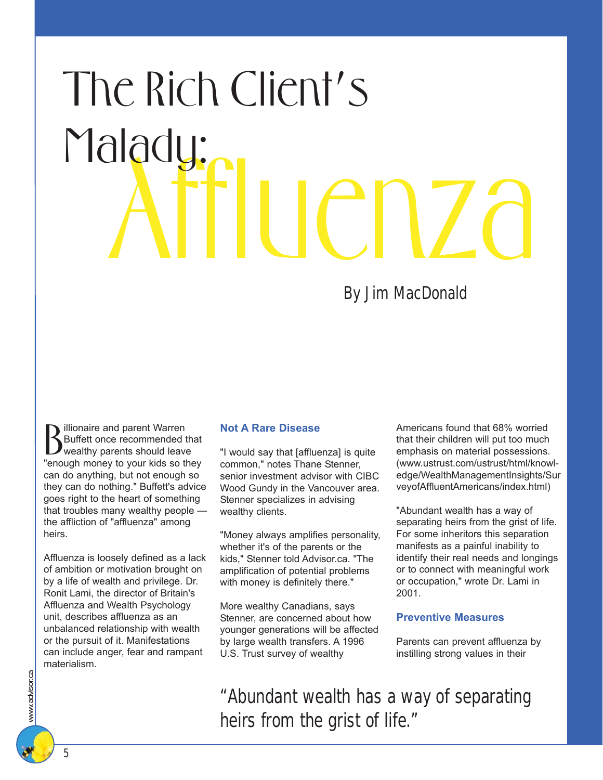# Affluenza The Rich Client's Malady:

By Jim MacDonald

**B** illionaire and parent Warren<br>Buffett once recommended that<br>"enough money to your kids so they" illionaire and parent Warren Buffett once recommended that wealthy parents should leave can do anything, but not enough so they can do nothing." Buffett's advice goes right to the heart of something that troubles many wealthy people the affliction of "affluenza" among heirs.

Affluenza is loosely defined as a lack of ambition or motivation brought on by a life of wealth and privilege. Dr. Ronit Lami, the director of Britain's Affluenza and Wealth Psychology unit, describes affluenza as an unbalanced relationship with wealth or the pursuit of it. Manifestations can include anger, fear and rampant materialism.

#### **Not A Rare Disease**

"I would say that [affluenza] is quite common," notes Thane Stenner, senior investment advisor with CIBC Wood Gundy in the Vancouver area. Stenner specializes in advising wealthy clients.

"Money always amplifies personality, whether it's of the parents or the kids," Stenner told Advisor.ca. "The amplification of potential problems with money is definitely there."

More wealthy Canadians, says Stenner, are concerned about how younger generations will be affected by large wealth transfers. A 1996 U.S. Trust survey of wealthy

Americans found that 68% worried that their children will put too much emphasis on material possessions. (www.ustrust.com/ustrust/html/knowledge/WealthManagementInsights/Sur veyofAffluentAmericans/index.html)

"Abundant wealth has a way of separating heirs from the grist of life. For some inheritors this separation manifests as a painful inability to identify their real needs and longings or to connect with meaningful work or occupation," wrote Dr. Lami in 2001.

#### **Preventive Measures**

Parents can prevent affluenza by instilling strong values in their

"Abundant wealth has a way of separating heirs from the grist of life."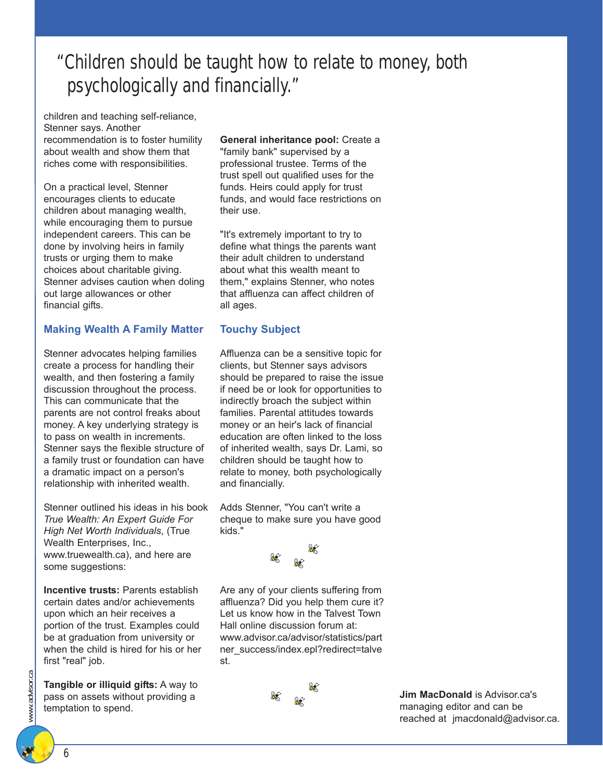## "Children should be taught how to relate to money, both psychologically and financially."

children and teaching self-reliance, Stenner says. Another recommendation is to foster humility about wealth and show them that riches come with responsibilities.

On a practical level, Stenner encourages clients to educate children about managing wealth, while encouraging them to pursue independent careers. This can be done by involving heirs in family trusts or urging them to make choices about charitable giving. Stenner advises caution when doling out large allowances or other financial gifts.

#### **Making Wealth A Family Matter**

Stenner advocates helping families create a process for handling their wealth, and then fostering a family discussion throughout the process. This can communicate that the parents are not control freaks about money. A key underlying strategy is to pass on wealth in increments. Stenner says the flexible structure of a family trust or foundation can have a dramatic impact on a person's relationship with inherited wealth.

Stenner outlined his ideas in his book *True Wealth: An Expert Guide For High Net Worth Individuals*, (True Wealth Enterprises, Inc., www.truewealth.ca), and here are some suggestions:

**Incentive trusts:** Parents establish certain dates and/or achievements upon which an heir receives a portion of the trust. Examples could be at graduation from university or when the child is hired for his or her first "real" job.

**Tangible or illiquid gifts:** A way to pass on assets without providing a temptation to spend.

#### **General inheritance pool:** Create a

"family bank" supervised by a professional trustee. Terms of the trust spell out qualified uses for the funds. Heirs could apply for trust funds, and would face restrictions on their use.

"It's extremely important to try to define what things the parents want their adult children to understand about what this wealth meant to them," explains Stenner, who notes that affluenza can affect children of all ages.

#### **Touchy Subject**

Affluenza can be a sensitive topic for clients, but Stenner says advisors should be prepared to raise the issue if need be or look for opportunities to indirectly broach the subject within families. Parental attitudes towards money or an heir's lack of financial education are often linked to the loss of inherited wealth, says Dr. Lami, so children should be taught how to relate to money, both psychologically and financially.

Adds Stenner, "You can't write a cheque to make sure you have good kids."



Are any of your clients suffering from affluenza? Did you help them cure it? Let us know how in the Talvest Town Hall online discussion forum at: www.advisor.ca/advisor/statistics/part ner\_success/index.epl?redirect=talve st.



**Jim MacDonald** is Advisor.ca's managing editor and can be reached at jmacdonald@advisor.ca.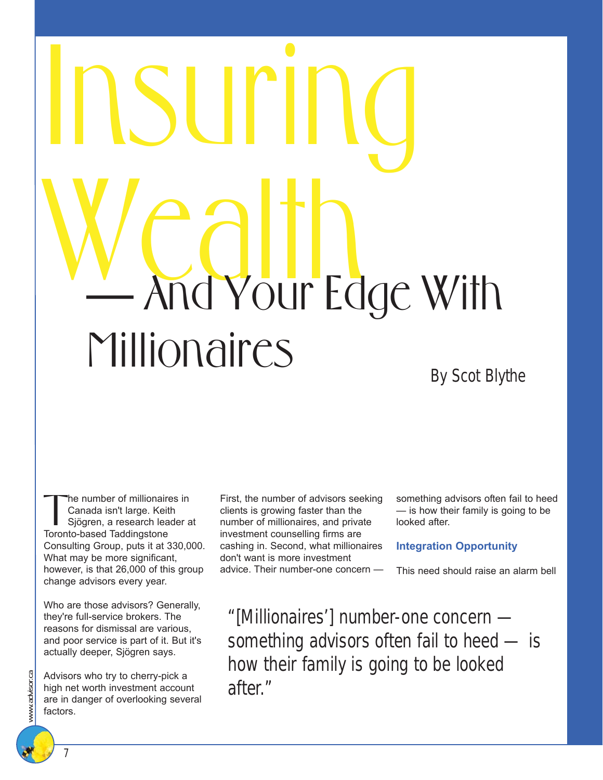# Insuring And Your Edge With Millionaires By Scot Blythe

the number of millionaires in Canada isn't large. Keith Sjögren, a research leader at Toronto-based Taddingstone Consulting Group, puts it at 330,000. What may be more significant, however, is that 26,000 of this group change advisors every year.

Who are those advisors? Generally, they're full-service brokers. The reasons for dismissal are various, and poor service is part of it. But it's actually deeper, Sjögren says.

Advisors who try to cherry-pick a high net worth investment account are in danger of overlooking several factors.

First, the number of advisors seeking clients is growing faster than the number of millionaires, and private investment counselling firms are cashing in. Second, what millionaires don't want is more investment advice. Their number-one concern —

something advisors often fail to heed — is how their family is going to be looked after.

#### **Integration Opportunity**

This need should raise an alarm bell

"[Millionaires'] number-one concern something advisors often fail to heed — is how their family is going to be looked after."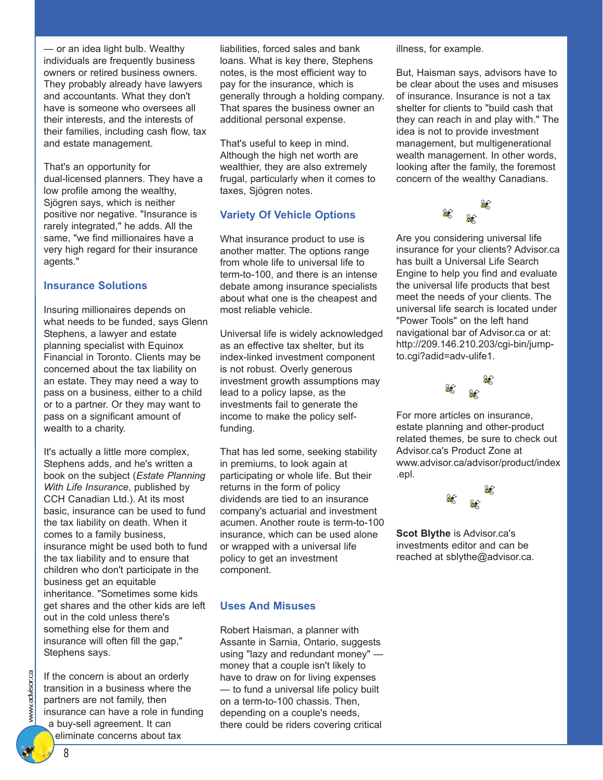— or an idea light bulb. Wealthy individuals are frequently business owners or retired business owners. They probably already have lawyers and accountants. What they don't have is someone who oversees all their interests, and the interests of their families, including cash flow, tax and estate management.

That's an opportunity for dual-licensed planners. They have a low profile among the wealthy, Sjögren says, which is neither positive nor negative. "Insurance is rarely integrated," he adds. All the same, "we find millionaires have a very high regard for their insurance agents."

#### **Insurance Solutions**

Insuring millionaires depends on what needs to be funded, says Glenn Stephens, a lawyer and estate planning specialist with Equinox Financial in Toronto. Clients may be concerned about the tax liability on an estate. They may need a way to pass on a business, either to a child or to a partner. Or they may want to pass on a significant amount of wealth to a charity.

It's actually a little more complex, Stephens adds, and he's written a book on the subject (*Estate Planning With Life Insurance*, published by CCH Canadian Ltd.). At its most basic, insurance can be used to fund the tax liability on death. When it comes to a family business, insurance might be used both to fund the tax liability and to ensure that children who don't participate in the business get an equitable inheritance. "Sometimes some kids get shares and the other kids are left out in the cold unless there's something else for them and insurance will often fill the gap," Stephens says.

If the concern is about an orderly transition in a business where the partners are not family, then insurance can have a role in funding a buy-sell agreement. It can eliminate concerns about tax

liabilities, forced sales and bank loans. What is key there, Stephens notes, is the most efficient way to pay for the insurance, which is generally through a holding company. That spares the business owner an additional personal expense.

That's useful to keep in mind. Although the high net worth are wealthier, they are also extremely frugal, particularly when it comes to taxes, Sjögren notes.

#### **Variety Of Vehicle Options**

What insurance product to use is another matter. The options range from whole life to universal life to term-to-100, and there is an intense debate among insurance specialists about what one is the cheapest and most reliable vehicle.

Universal life is widely acknowledged as an effective tax shelter, but its index-linked investment component is not robust. Overly generous investment growth assumptions may lead to a policy lapse, as the investments fail to generate the income to make the policy selffunding.

That has led some, seeking stability in premiums, to look again at participating or whole life. But their returns in the form of policy dividends are tied to an insurance company's actuarial and investment acumen. Another route is term-to-100 insurance, which can be used alone or wrapped with a universal life policy to get an investment component.

#### **Uses And Misuses**

Robert Haisman, a planner with Assante in Sarnia, Ontario, suggests using "lazy and redundant money" money that a couple isn't likely to have to draw on for living expenses — to fund a universal life policy built on a term-to-100 chassis. Then, depending on a couple's needs, there could be riders covering critical illness, for example.

But, Haisman says, advisors have to be clear about the uses and misuses of insurance. Insurance is not a tax shelter for clients to "build cash that they can reach in and play with." The idea is not to provide investment management, but multigenerational wealth management. In other words, looking after the family, the foremost concern of the wealthy Canadians.



Are you considering universal life insurance for your clients? Advisor.ca has built a Universal Life Search Engine to help you find and evaluate the universal life products that best meet the needs of your clients. The universal life search is located under "Power Tools" on the left hand navigational bar of Advisor.ca or at: http://209.146.210.203/cgi-bin/jumpto.cgi?adid=adv-ulife1.



For more articles on insurance, estate planning and other-product related themes, be sure to check out Advisor.ca's Product Zone at www.advisor.ca/advisor/product/index .epl.



**Scot Blythe** is Advisor.ca's investments editor and can be reached at sblythe@advisor.ca.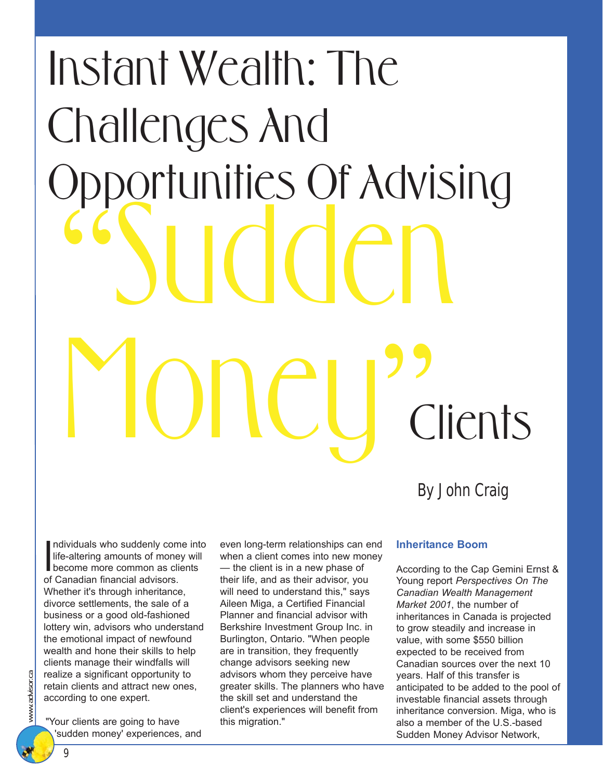# "Sudden Money? Instant Wealth: The Challenges And Opportunities Of Advising **Clients**

By John Craig

Individuals who suddenly come in<br>life-altering amounts of money wild<br>become more common as clients ndividuals who suddenly come into life-altering amounts of money will of Canadian financial advisors. Whether it's through inheritance, divorce settlements, the sale of a business or a good old-fashioned lottery win, advisors who understand the emotional impact of newfound wealth and hone their skills to help clients manage their windfalls will realize a significant opportunity to retain clients and attract new ones, according to one expert.

"Your clients are going to have 'sudden money' experiences, and even long-term relationships can end when a client comes into new money — the client is in a new phase of their life, and as their advisor, you will need to understand this," says Aileen Miga, a Certified Financial Planner and financial advisor with Berkshire Investment Group Inc. in Burlington, Ontario. "When people are in transition, they frequently change advisors seeking new advisors whom they perceive have greater skills. The planners who have the skill set and understand the client's experiences will benefit from this migration."

#### **Inheritance Boom**

According to the Cap Gemini Ernst & Young report *Perspectives On The Canadian Wealth Management Market 2001*, the number of inheritances in Canada is projected to grow steadily and increase in value, with some \$550 billion expected to be received from Canadian sources over the next 10 years. Half of this transfer is anticipated to be added to the pool of investable financial assets through inheritance conversion. Miga, who is also a member of the U.S.-based Sudden Money Advisor Network,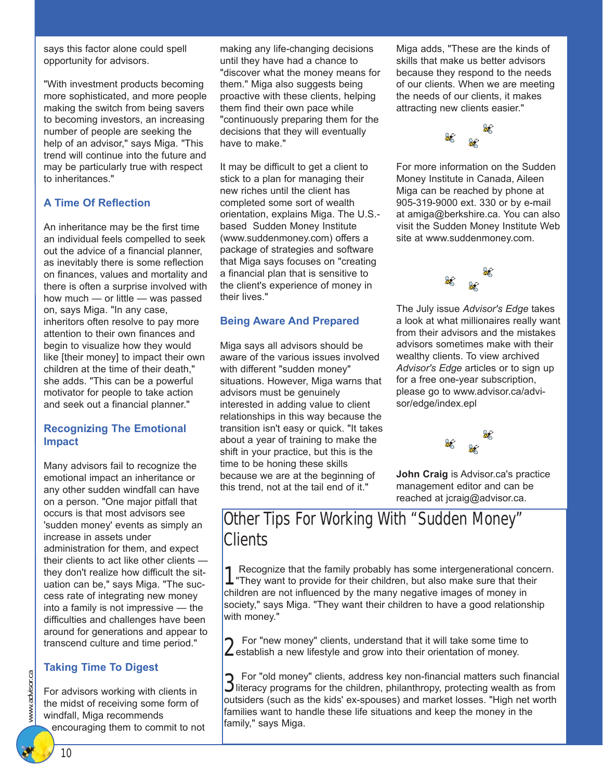says this factor alone could spell opportunity for advisors.

"With investment products becoming more sophisticated, and more people making the switch from being savers to becoming investors, an increasing number of people are seeking the help of an advisor," says Miga. "This trend will continue into the future and may be particularly true with respect to inheritances."

#### **A Time Of Reflection**

An inheritance may be the first time an individual feels compelled to seek out the advice of a financial planner, as inevitably there is some reflection on finances, values and mortality and there is often a surprise involved with how much — or little — was passed on, says Miga. "In any case, inheritors often resolve to pay more attention to their own finances and begin to visualize how they would like [their money] to impact their own children at the time of their death," she adds. "This can be a powerful motivator for people to take action and seek out a financial planner."

#### **Recognizing The Emotional Impact**

Many advisors fail to recognize the emotional impact an inheritance or any other sudden windfall can have on a person. "One major pitfall that occurs is that most advisors see 'sudden money' events as simply an increase in assets under administration for them, and expect their clients to act like other clients they don't realize how difficult the situation can be," says Miga. "The success rate of integrating new money into a family is not impressive — the difficulties and challenges have been around for generations and appear to transcend culture and time period."

#### **Taking Time To Digest**

For advisors working with clients in the midst of receiving some form of windfall, Miga recommends encouraging them to commit to not

making any life-changing decisions until they have had a chance to "discover what the money means for them." Miga also suggests being proactive with these clients, helping them find their own pace while "continuously preparing them for the decisions that they will eventually have to make."

It may be difficult to get a client to stick to a plan for managing their new riches until the client has completed some sort of wealth orientation, explains Miga. The U.S. based Sudden Money Institute (www.suddenmoney.com) offers a package of strategies and software that Miga says focuses on "creating a financial plan that is sensitive to the client's experience of money in their lives."

#### **Being Aware And Prepared**

Miga says all advisors should be aware of the various issues involved with different "sudden money" situations. However, Miga warns that advisors must be genuinely interested in adding value to client relationships in this way because the transition isn't easy or quick. "It takes about a year of training to make the shift in your practice, but this is the time to be honing these skills because we are at the beginning of this trend, not at the tail end of it."

Miga adds, "These are the kinds of skills that make us better advisors because they respond to the needs of our clients. When we are meeting the needs of our clients, it makes attracting new clients easier."



For more information on the Sudden Money Institute in Canada, Aileen Miga can be reached by phone at 905-319-9000 ext. 330 or by e-mail at amiga@berkshire.ca. You can also visit the Sudden Money Institute Web site at www.suddenmoney.com.



The July issue *Advisor's Edge* takes a look at what millionaires really want from their advisors and the mistakes advisors sometimes make with their wealthy clients. To view archived *Advisor's Edge* articles or to sign up for a free one-year subscription, please go to www.advisor.ca/advisor/edge/index.epl



**John Craig** is Advisor.ca's practice management editor and can be reached at jcraig@advisor.ca.

## Other Tips For Working With "Sudden Money" **Clients**

1 Recognize that the family probably has some intergenerational concern. "They want to provide for their children, but also make sure that their children are not influenced by the many negative images of money in society," says Miga. "They want their children to have a good relationship with money."

2 For "new money" clients, understand that it will take some time to establish a new lifestyle and grow into their orientation of money.

3 For "old money" clients, address key non-financial matters such financial literacy programs for the children, philanthropy, protecting wealth as from outsiders (such as the kids' ex-spouses) and market losses. "High net worth families want to handle these life situations and keep the money in the family," says Miga.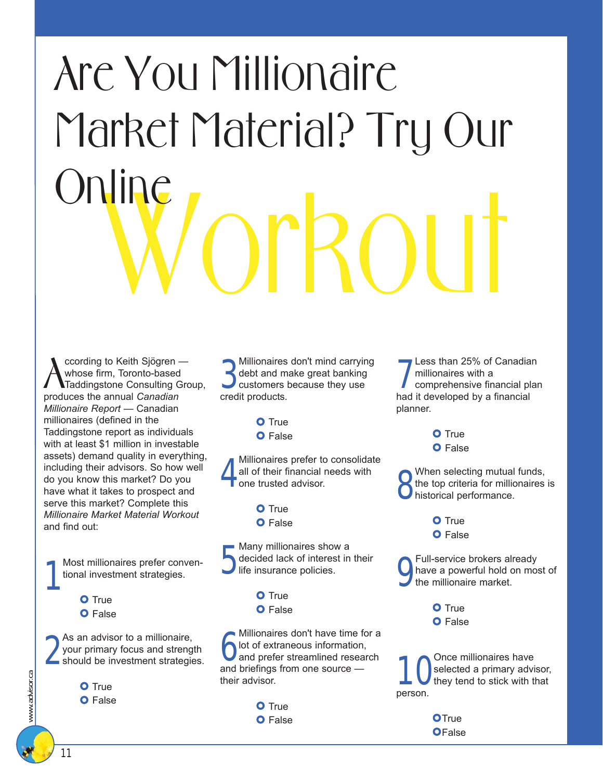## Workout Are You Millionaire Market Material? Try Our **Online**

**A** coording to Keith Sjögren<br>
Taddingstone Consulting (produces the annual *Canadian* ccording to Keith Sjögren whose firm, Toronto-based Taddingstone Consulting Group, *Millionaire Report* — Canadian millionaires (defined in the Taddingstone report as individuals with at least \$1 million in investable assets) demand quality in everything, including their advisors. So how well do you know this market? Do you have what it takes to prospect and serve this market? Complete this *Millionaire Market Material Workout* and find out:

1 Most millionaires prefer conventional investment strategies.

**O** True O False

2 As an advisor to a millionaire, your primary focus and strength should be investment strategies.

- **O** True
- **O** False

**3**<br>debt and m<br>customers<br>credit products. Millionaires don't mind carrying debt and make great banking customers because they use

> **O** True **O** False

4 Millionaires prefer to consolidate all of their financial needs with one trusted advisor.

> **O** True **O** False

5 - Many millionaires show a decided lack of interest in their life insurance policies.

> **O** True **O** False

Millionaires don't have time f<br>
old of extraneous information<br>
and prefer streamlined resea<br>
and briefings from one source Millionaires don't have time for a lot of extraneous information, and prefer streamlined research their advisor.

> **O** True **O** False

**7** Less than 25% of Canadial millionaires with a<br>comprehensive financial planet it developed by a financial Less than 25% of Canadian millionaires with a comprehensive financial plan planner.

> **O** True **O** False

8 When selecting mutual funds, the top criteria for millionaires is historical performance.

> **O** True **O** False

9 Full-service brokers already have a powerful hold on most of the millionaire market.

> **O** True **O** False

1 Once millionaires have<br>they tend to stick with the stick with the state of the stick with the state of the state of the state of the state of the state of the state of the state of the state of the state of the state of selected a primary advisor, they tend to stick with that person.

> OTrue **OFalse**

www.advisor.ca

www.advisor.ca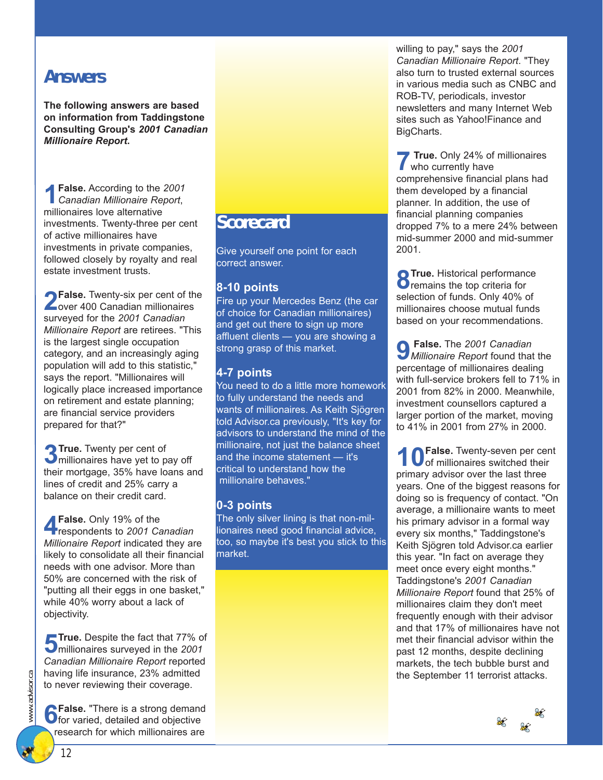### *Answers*

**The following answers are based on information from Taddingstone Consulting Group's** *2001 Canadian Millionaire Report***.**

**1False.** According to the *<sup>2001</sup> Canadian Millionaire Report*, millionaires love alternative investments. Twenty-three per cent of active millionaires have investments in private companies, followed closely by royalty and real estate investment trusts.

**2False.** Twenty-six per cent of the over 400 Canadian millionaires surveyed for the *2001 Canadian Millionaire Report* are retirees. "This is the largest single occupation category, and an increasingly aging population will add to this statistic," says the report. "Millionaires will logically place increased importance on retirement and estate planning; are financial service providers prepared for that?"

**3True.** Twenty per cent of millionaires have yet to pay off their mortgage, 35% have loans and lines of credit and 25% carry a balance on their credit card.

**4False.** Only 19% of the respondents to *2001 Canadian Millionaire Report* indicated they are likely to consolidate all their financial needs with one advisor. More than 50% are concerned with the risk of "putting all their eggs in one basket," while 40% worry about a lack of objectivity.

**5True.** Despite the fact that 77% of millionaires surveyed in the *2001 Canadian Millionaire Report* reported having life insurance, 23% admitted to never reviewing their coverage.

**6False.** "There is a strong demand<br>**6** for varied, detailed and objective research for which millionaires are

### *Scorecard*

Give yourself one point for each correct answer.

#### **8-10 points**

Fire up your Mercedes Benz (the car of choice for Canadian millionaires) and get out there to sign up more affluent clients — you are showing a strong grasp of this market.

#### **4-7 points**

You need to do a little more homework to fully understand the needs and wants of millionaires. As Keith Sjögren told Advisor.ca previously, "It's key for advisors to understand the mind of the millionaire, not just the balance sheet and the income statement — it's critical to understand how the millionaire behaves."

#### **0-3 points**

The only silver lining is that non-millionaires need good financial advice, too, so maybe it's best you stick to this market.

willing to pay," says the *2001 Canadian Millionaire Report*. "They also turn to trusted external sources in various media such as CNBC and ROB-TV, periodicals, investor newsletters and many Internet Web sites such as Yahoo!Finance and BigCharts.

**7 True.** Only 24% of millionaires who currently have comprehensive financial plans had them developed by a financial planner. In addition, the use of financial planning companies dropped 7% to a mere 24% between mid-summer 2000 and mid-summer 2001.

**8 True.** Historical performance<br>**8** Tremains the top criteria for selection of funds. Only 40% of millionaires choose mutual funds based on your recommendations.

**9 False.** The *2001 Canadian Millionaire Report* found that the percentage of millionaires dealing with full-service brokers fell to 71% in 2001 from 82% in 2000. Meanwhile, investment counsellors captured a larger portion of the market, moving to 41% in 2001 from 27% in 2000.

1 OFalse. Twenty-seven per cent<br>
of millionaires switched their primary advisor over the last three years. One of the biggest reasons for doing so is frequency of contact. "On average, a millionaire wants to meet his primary advisor in a formal way every six months," Taddingstone's Keith Sjögren told Advisor.ca earlier this year. "In fact on average they meet once every eight months." Taddingstone's *2001 Canadian Millionaire Report* found that 25% of millionaires claim they don't meet frequently enough with their advisor and that 17% of millionaires have not met their financial advisor within the past 12 months, despite declining markets, the tech bubble burst and the September 11 terrorist attacks.

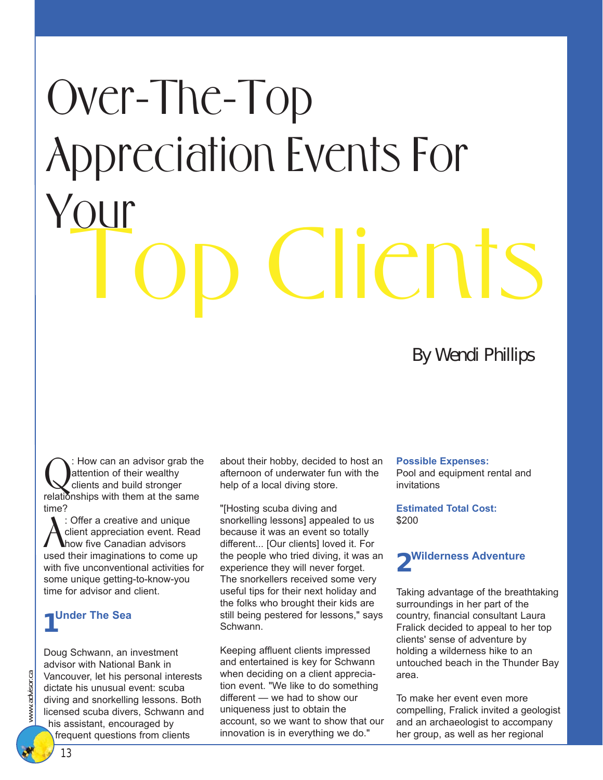## C. IICNT. Over-The-Top Appreciation Events For Your

### By Wendi Phillips

: How can an advisor grab the attention of their wealthy clients and build stronger relationships with them at the same time?

Figure 2 a creative and unique<br>
client appreciation event. Read<br>
used their imaginations to come up : Offer a creative and unique client appreciation event. Read how five Canadian advisors with five unconventional activities for some unique getting-to-know-you time for advisor and client.

## *1* **Under The Sea**

Doug Schwann, an investment advisor with National Bank in Vancouver, let his personal interests dictate his unusual event: scuba diving and snorkelling lessons. Both licensed scuba divers, Schwann and his assistant, encouraged by frequent questions from clients

about their hobby, decided to host an afternoon of underwater fun with the help of a local diving store.

"[Hosting scuba diving and snorkelling lessons] appealed to us because it was an event so totally different... [Our clients] loved it. For the people who tried diving, it was an experience they will never forget. The snorkellers received some very useful tips for their next holiday and the folks who brought their kids are still being pestered for lessons," says Schwann.

Keeping affluent clients impressed and entertained is key for Schwann when deciding on a client appreciation event. "We like to do something different — we had to show our uniqueness just to obtain the account, so we want to show that our innovation is in everything we do."

#### **Possible Expenses:**

Pool and equipment rental and invitations

**Estimated Total Cost:** \$200



Taking advantage of the breathtaking surroundings in her part of the country, financial consultant Laura Fralick decided to appeal to her top clients' sense of adventure by holding a wilderness hike to an untouched beach in the Thunder Bay area.

To make her event even more compelling, Fralick invited a geologist and an archaeologist to accompany her group, as well as her regional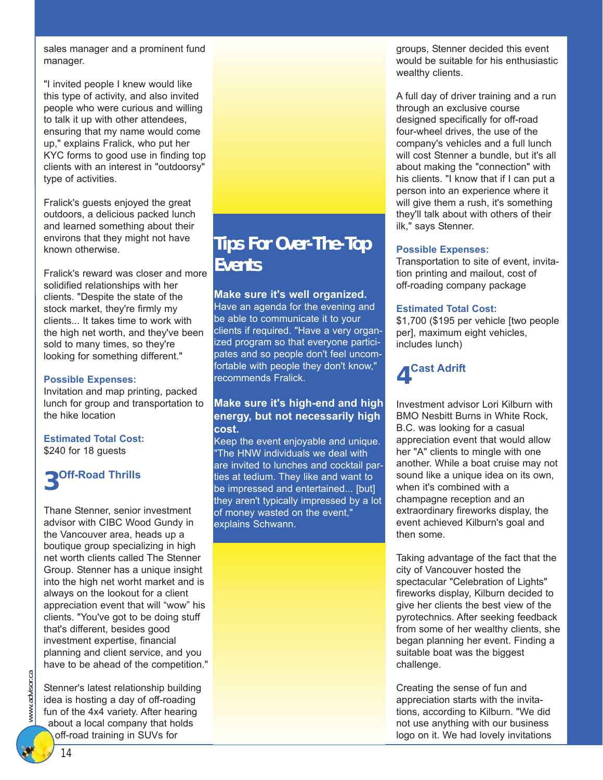sales manager and a prominent fund manager.

"I invited people I knew would like this type of activity, and also invited people who were curious and willing to talk it up with other attendees, ensuring that my name would come up," explains Fralick, who put her KYC forms to good use in finding top clients with an interest in "outdoorsy" type of activities.

Fralick's guests enjoyed the great outdoors, a delicious packed lunch and learned something about their environs that they might not have known otherwise.

Fralick's reward was closer and more solidified relationships with her clients. "Despite the state of the stock market, they're firmly my clients... It takes time to work with the high net worth, and they've been sold to many times, so they're looking for something different."

#### **Possible Expenses:**

Invitation and map printing, packed lunch for group and transportation to the hike location

**Estimated Total Cost:** \$240 for 18 guests

## *3* **Off-Road Thrills**

Thane Stenner, senior investment advisor with CIBC Wood Gundy in the Vancouver area, heads up a boutique group specializing in high net worth clients called The Stenner Group. Stenner has a unique insight into the high net worht market and is always on the lookout for a client appreciation event that will "wow" his clients. "You've got to be doing stuff that's different, besides good investment expertise, financial planning and client service, and you have to be ahead of the competition."

Stenner's latest relationship building idea is hosting a day of off-roading fun of the 4x4 variety. After hearing about a local company that holds off-road training in SUVs for

## *Tips For Over-The-Top Events*

#### **Make sure it's well organized.**

Have an agenda for the evening and be able to communicate it to your clients if required. "Have a very organized program so that everyone participates and so people don't feel uncomfortable with people they don't know," recommends Fralick.

#### **Make sure it's high-end and high energy, but not necessarily high cost.**

Keep the event enjoyable and unique. "The HNW individuals we deal with are invited to lunches and cocktail parties at tedium. They like and want to be impressed and entertained... [but] they aren't typically impressed by a lot of money wasted on the event," explains Schwann.

groups, Stenner decided this event would be suitable for his enthusiastic wealthy clients.

A full day of driver training and a run through an exclusive course designed specifically for off-road four-wheel drives, the use of the company's vehicles and a full lunch will cost Stenner a bundle, but it's all about making the "connection" with his clients. "I know that if I can put a person into an experience where it will give them a rush, it's something they'll talk about with others of their ilk," says Stenner.

#### **Possible Expenses:**

Transportation to site of event, invitation printing and mailout, cost of off-roading company package

#### **Estimated Total Cost:**

\$1,700 (\$195 per vehicle [two people per], maximum eight vehicles, includes lunch)

## *4* **Cast Adrift**

Investment advisor Lori Kilburn with BMO Nesbitt Burns in White Rock, B.C. was looking for a casual appreciation event that would allow her "A" clients to mingle with one another. While a boat cruise may not sound like a unique idea on its own, when it's combined with a champagne reception and an extraordinary fireworks display, the event achieved Kilburn's goal and then some.

Taking advantage of the fact that the city of Vancouver hosted the spectacular "Celebration of Lights" fireworks display, Kilburn decided to give her clients the best view of the pyrotechnics. After seeking feedback from some of her wealthy clients, she began planning her event. Finding a suitable boat was the biggest challenge.

Creating the sense of fun and appreciation starts with the invitations, according to Kilburn. "We did not use anything with our business logo on it. We had lovely invitations

www.advisor.ca www.advisor.

ස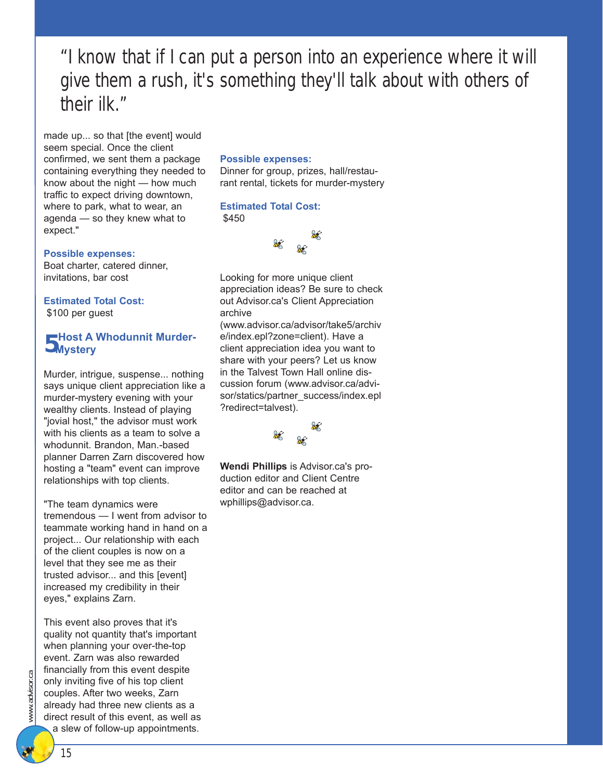"I know that if I can put a person into an experience where it will give them a rush, it's something they'll talk about with others of their ilk."

made up... so that [the event] would seem special. Once the client confirmed, we sent them a package containing everything they needed to know about the night — how much traffic to expect driving downtown, where to park, what to wear, an agenda — so they knew what to expect."

#### **Possible expenses:**

Boat charter, catered dinner, invitations, bar cost

**Estimated Total Cost:** \$100 per guest

## *5* **Host A Whodunnit Murder-Mystery**

Murder, intrigue, suspense... nothing says unique client appreciation like a murder-mystery evening with your wealthy clients. Instead of playing "jovial host," the advisor must work with his clients as a team to solve a whodunnit. Brandon, Man.-based planner Darren Zarn discovered how hosting a "team" event can improve relationships with top clients.

"The team dynamics were tremendous — I went from advisor to teammate working hand in hand on a project... Our relationship with each of the client couples is now on a level that they see me as their trusted advisor... and this [event] increased my credibility in their eyes," explains Zarn.

This event also proves that it's quality not quantity that's important when planning your over-the-top event. Zarn was also rewarded financially from this event despite only inviting five of his top client couples. After two weeks, Zarn already had three new clients as a direct result of this event, as well as a slew of follow-up appointments.

#### **Possible expenses:**

Dinner for group, prizes, hall/restaurant rental, tickets for murder-mystery

#### **Estimated Total Cost:** \$450



Looking for more unique client appreciation ideas? Be sure to check out Advisor.ca's Client Appreciation archive

(www.advisor.ca/advisor/take5/archiv e/index.epl?zone=client). Have a client appreciation idea you want to share with your peers? Let us know in the Talvest Town Hall online discussion forum (www.advisor.ca/advisor/statics/partner\_success/index.epl ?redirect=talvest).



**Wendi Phillips** is Advisor.ca's production editor and Client Centre editor and can be reached at wphillips@advisor.ca.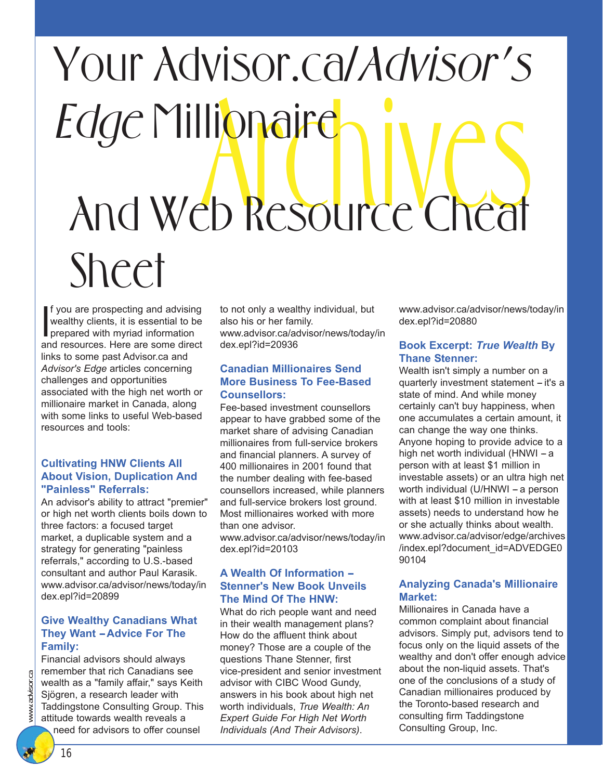## Archive Cheat Your Advisor.ca/Advisor's Edge Millionaire And Web Resource Cheat Sheet

If you are prospecting and advising<br>wealthy clients, it is essential to be<br>prepared with myriad information<br>and resources. Here are some direct f you are prospecting and advising wealthy clients, it is essential to be prepared with myriad information links to some past Advisor.ca and *Advisor's Edge* articles concerning challenges and opportunities associated with the high net worth or millionaire market in Canada, along with some links to useful Web-based resources and tools:

#### **Cultivating HNW Clients All About Vision, Duplication And "Painless" Referrals:**

An advisor's ability to attract "premier" or high net worth clients boils down to three factors: a focused target market, a duplicable system and a strategy for generating "painless referrals," according to U.S.-based consultant and author Paul Karasik. www.advisor.ca/advisor/news/today/in dex.epl?id=20899

#### **Give Wealthy Canadians What They Want - Advice For The Family:**

Financial advisors should always remember that rich Canadians see wealth as a "family affair," says Keith Sjögren, a research leader with Taddingstone Consulting Group. This attitude towards wealth reveals a need for advisors to offer counsel

to not only a wealthy individual, but also his or her family. www.advisor.ca/advisor/news/today/in dex.epl?id=20936

#### **Canadian Millionaires Send More Business To Fee-Based Counsellors:**

Fee-based investment counsellors appear to have grabbed some of the market share of advising Canadian millionaires from full-service brokers and financial planners. A survey of 400 millionaires in 2001 found that the number dealing with fee-based counsellors increased, while planners and full-service brokers lost ground. Most millionaires worked with more than one advisor. www.advisor.ca/advisor/news/today/in

dex.epl?id=20103

#### **A Wealth Of Information -- Stenner's New Book Unveils The Mind Of The HNW:**

What do rich people want and need in their wealth management plans? How do the affluent think about money? Those are a couple of the questions Thane Stenner, first vice-president and senior investment advisor with CIBC Wood Gundy, answers in his book about high net worth individuals, *True Wealth: An Expert Guide For High Net Worth Individuals (And Their Advisors)*.

www.advisor.ca/advisor/news/today/in dex.epl?id=20880

#### **Book Excerpt:** *True Wealth* **By Thane Stenner:**

Wealth isn't simply a number on a quarterly investment statement  $-$  it's a state of mind. And while money certainly can't buy happiness, when one accumulates a certain amount, it can change the way one thinks. Anyone hoping to provide advice to a high net worth individual (HNWI  $-$  a person with at least \$1 million in investable assets) or an ultra high net worth individual (U/HNWI  $-$  a person with at least \$10 million in investable assets) needs to understand how he or she actually thinks about wealth. www.advisor.ca/advisor/edge/archives /index.epl?document\_id=ADVEDGE0 90104

#### **Analyzing Canada's Millionaire Market:**

Millionaires in Canada have a common complaint about financial advisors. Simply put, advisors tend to focus only on the liquid assets of the wealthy and don't offer enough advice about the non-liquid assets. That's one of the conclusions of a study of Canadian millionaires produced by the Toronto-based research and consulting firm Taddingstone Consulting Group, Inc.